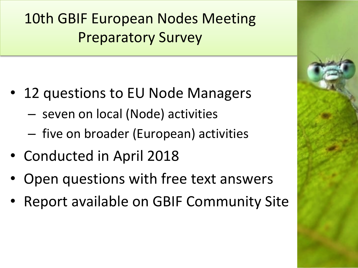**10th GBIF European Nodes Meeting Preparatory Survey** 

- 12 questions to EU Node Managers
	- $-$  seven on local (Node) activities
	- $-$  five on broader (European) activities
- Conducted in April 2018
- Open questions with free text answers
- Report available on GBIF Community Site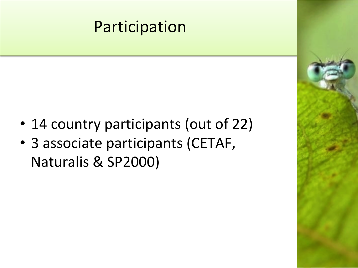# Participation

- 14 country participants (out of 22)
- 3 associate participants (CETAF, Naturalis & SP2000)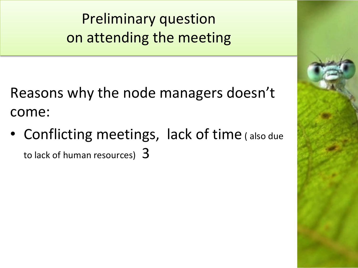**Preliminary question** on attending the meeting

Reasons why the node managers doesn't come: 

• Conflicting meetings, lack of time (also due to lack of human resources)  $3$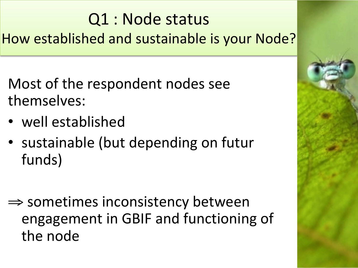# Q1 : Node status How established and sustainable is your Node?

- Most of the respondent nodes see themselves:
- well established
- sustainable (but depending on futur funds)
- $\Rightarrow$  sometimes inconsistency between engagement in GBIF and functioning of the node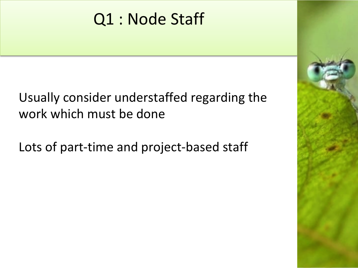# Q1 : Node Staff

Usually consider understaffed regarding the work which must be done

Lots of part-time and project-based staff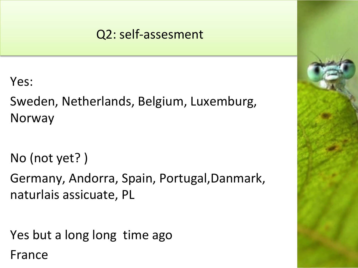### Q2: self-assesment

Yes: 

Sweden, Netherlands, Belgium, Luxemburg, Norway 

No (not yet?)

Germany, Andorra, Spain, Portugal,Danmark, naturlais assicuate, PL

Yes but a long long time ago

France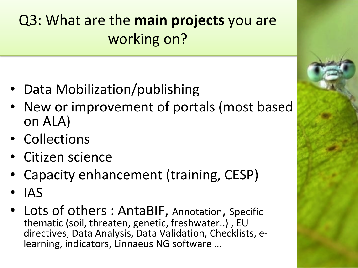# **Q3: What are the main projects you are** working on?

- Data Mobilization/publishing
- New or improvement of portals (most based on ALA)
- Collections
- Citizen science
- Capacity enhancement (training, CESP)
- IAS
- Lots of others : AntaBIF, Annotation, Specific thematic (soil, threaten, genetic, freshwater..), EU directives, Data Analysis, Data Validation, Checklists, elearning, indicators, Linnaeus NG software ...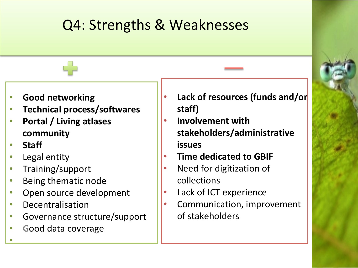### Q4: Strengths & Weaknesses

- **Good networking**
- **Technical process/softwares**
- **Portal / Living atlases community**
- **Staff**

• 

- Legal entity
- Training/support
- Being thematic node
- Open source development
- **Decentralisation**
- Governance structure/support
- **Good data coverage**
- Lack of resources (funds and/or staff)
- **Involvement with stakeholders/administrative issues**
- **Time dedicated to GBIF**
- Need for digitization of collections
- Lack of ICT experience
- Communication, improvement of stakeholders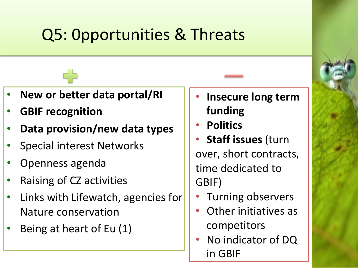# Q5: Opportunities & Threats

- **New or better data portal/RI**
- **GBIF** recognition
- Data provision/new data types
- Special interest Networks
- Openness agenda
- Raising of CZ activities
- Links with Lifewatch, agencies for Nature conservation
- Being at heart of Eu (1)
- **Insecure long term** funding
- **Politics**
- **Staff issues (turn** over, short contracts, time dedicated to GBIF)
	- Turning observers
	- Other initiatives as competitors
- No indicator of DQ in GBIF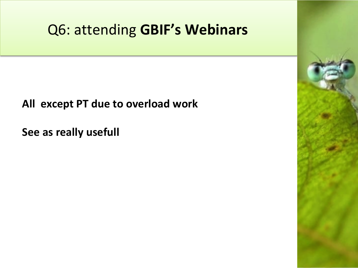### Q6: attending **GBIF's Webinars**

### **All except PT due to overload work**

**See as really usefull**

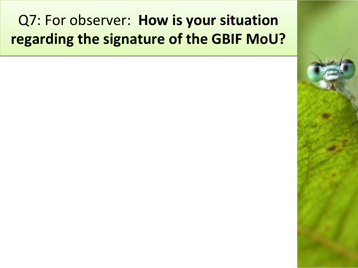## Q7: For observer: **How is your situation regarding the signature of the GBIF MoU?**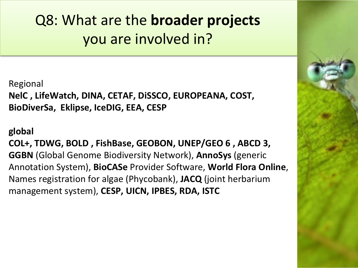**Q8: What are the broader projects** you are involved in?

Regional NelC, LifeWatch, DINA, CETAF, DiSSCO, EUROPEANA, COST, BioDiverSa, Eklipse, IceDIG, EEA, CESP

### **global**

COL+, TDWG, BOLD, FishBase, GEOBON, UNEP/GEO 6, ABCD 3, **GGBN** (Global Genome Biodiversity Network), **AnnoSys** (generic Annotation System), **BioCASe** Provider Software, **World Flora Online**, Names registration for algae (Phycobank), JACQ (joint herbarium management system), CESP, UICN, IPBES, RDA, ISTC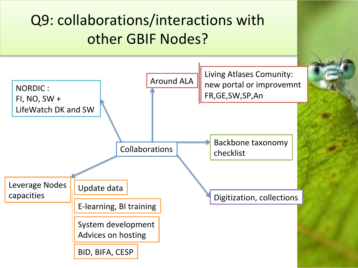## Q9: collaborations/interactions with other GBIF Nodes?

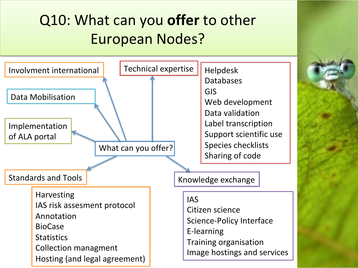# Q10: What can you offer to other European Nodes?

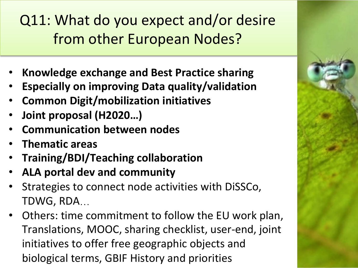Q11: What do you expect and/or desire from other European Nodes? 

- Knowledge exchange and Best Practice sharing
- **Especially on improving Data quality/validation**
- **Common Digit/mobilization initiatives**
- Joint proposal (H2020...)
- **Communication between nodes**
- **Thematic areas**
- **Training/BDI/Teaching collaboration**
- **ALA portal dev and community**
- Strategies to connect node activities with DiSSCo, TDWG, RDA...
- Others: time commitment to follow the EU work plan, Translations, MOOC, sharing checklist, user-end, joint initiatives to offer free geographic objects and biological terms, GBIF History and priorities